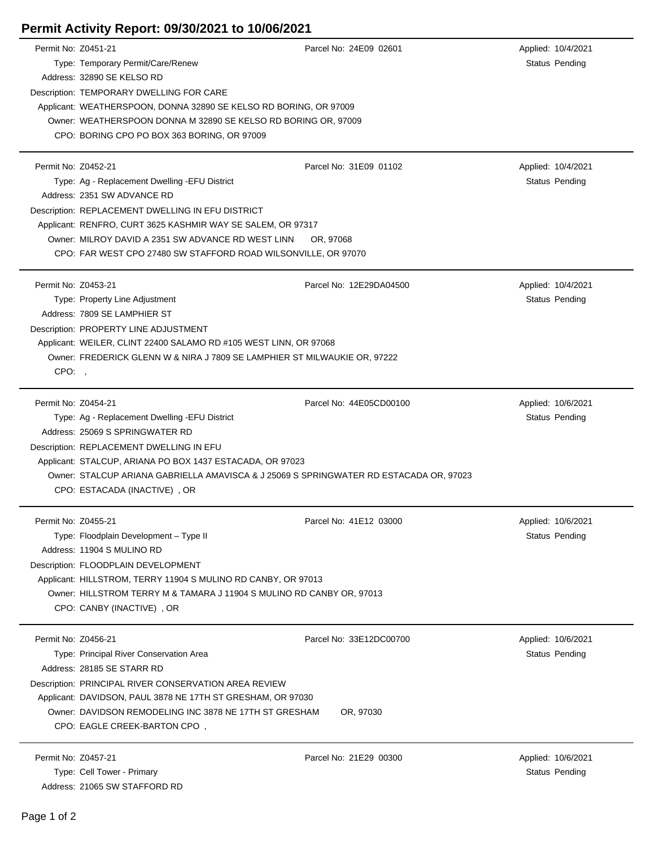## **Permit Activity Report: 09/30/2021 to 10/06/2021**

| Permit No: Z0451-21 |                                                                                                                                                     | Parcel No: 24E09 02601  | Applied: 10/4/2021    |  |  |
|---------------------|-----------------------------------------------------------------------------------------------------------------------------------------------------|-------------------------|-----------------------|--|--|
|                     | Type: Temporary Permit/Care/Renew                                                                                                                   |                         | Status Pending        |  |  |
|                     | Address: 32890 SE KELSO RD                                                                                                                          |                         |                       |  |  |
|                     | Description: TEMPORARY DWELLING FOR CARE                                                                                                            |                         |                       |  |  |
|                     | Applicant: WEATHERSPOON, DONNA 32890 SE KELSO RD BORING, OR 97009                                                                                   |                         |                       |  |  |
|                     | Owner: WEATHERSPOON DONNA M 32890 SE KELSO RD BORING OR, 97009                                                                                      |                         |                       |  |  |
|                     | CPO: BORING CPO PO BOX 363 BORING, OR 97009                                                                                                         |                         |                       |  |  |
|                     |                                                                                                                                                     |                         |                       |  |  |
| Permit No: Z0452-21 |                                                                                                                                                     | Parcel No: 31E09 01102  | Applied: 10/4/2021    |  |  |
|                     | Type: Ag - Replacement Dwelling - EFU District                                                                                                      |                         | <b>Status Pending</b> |  |  |
|                     | Address: 2351 SW ADVANCE RD                                                                                                                         |                         |                       |  |  |
|                     | Description: REPLACEMENT DWELLING IN EFU DISTRICT                                                                                                   |                         |                       |  |  |
|                     | Applicant: RENFRO, CURT 3625 KASHMIR WAY SE SALEM, OR 97317                                                                                         |                         |                       |  |  |
|                     | Owner: MILROY DAVID A 2351 SW ADVANCE RD WEST LINN<br>OR, 97068                                                                                     |                         |                       |  |  |
|                     | CPO: FAR WEST CPO 27480 SW STAFFORD ROAD WILSONVILLE, OR 97070                                                                                      |                         |                       |  |  |
|                     |                                                                                                                                                     |                         |                       |  |  |
| Permit No: Z0453-21 |                                                                                                                                                     | Parcel No: 12E29DA04500 | Applied: 10/4/2021    |  |  |
|                     | Type: Property Line Adjustment                                                                                                                      |                         | <b>Status Pending</b> |  |  |
|                     | Address: 7809 SE LAMPHIER ST                                                                                                                        |                         |                       |  |  |
|                     | Description: PROPERTY LINE ADJUSTMENT                                                                                                               |                         |                       |  |  |
|                     | Applicant: WEILER, CLINT 22400 SALAMO RD #105 WEST LINN, OR 97068                                                                                   |                         |                       |  |  |
|                     | Owner: FREDERICK GLENN W & NIRA J 7809 SE LAMPHIER ST MILWAUKIE OR, 97222                                                                           |                         |                       |  |  |
| CPO:                |                                                                                                                                                     |                         |                       |  |  |
| Permit No: Z0454-21 |                                                                                                                                                     | Parcel No: 44E05CD00100 | Applied: 10/6/2021    |  |  |
|                     | Type: Ag - Replacement Dwelling - EFU District                                                                                                      |                         | Status Pending        |  |  |
|                     | Address: 25069 S SPRINGWATER RD                                                                                                                     |                         |                       |  |  |
|                     |                                                                                                                                                     |                         |                       |  |  |
|                     | Description: REPLACEMENT DWELLING IN EFU                                                                                                            |                         |                       |  |  |
|                     | Applicant: STALCUP, ARIANA PO BOX 1437 ESTACADA, OR 97023<br>Owner: STALCUP ARIANA GABRIELLA AMAVISCA & J 25069 S SPRINGWATER RD ESTACADA OR, 97023 |                         |                       |  |  |
|                     | CPO: ESTACADA (INACTIVE), OR                                                                                                                        |                         |                       |  |  |
|                     |                                                                                                                                                     |                         |                       |  |  |
| Permit No: Z0455-21 |                                                                                                                                                     | Parcel No: 41E12 03000  | Applied: 10/6/2021    |  |  |
|                     | Type: Floodplain Development - Type II                                                                                                              |                         | Status Pending        |  |  |
|                     | Address: 11904 S MULINO RD                                                                                                                          |                         |                       |  |  |
|                     | Description: FLOODPLAIN DEVELOPMENT                                                                                                                 |                         |                       |  |  |
|                     | Applicant: HILLSTROM, TERRY 11904 S MULINO RD CANBY, OR 97013                                                                                       |                         |                       |  |  |
|                     | Owner: HILLSTROM TERRY M & TAMARA J 11904 S MULINO RD CANBY OR, 97013                                                                               |                         |                       |  |  |
|                     | CPO: CANBY (INACTIVE), OR                                                                                                                           |                         |                       |  |  |
|                     |                                                                                                                                                     |                         |                       |  |  |
| Permit No: Z0456-21 |                                                                                                                                                     | Parcel No: 33E12DC00700 | Applied: 10/6/2021    |  |  |
|                     | Type: Principal River Conservation Area                                                                                                             |                         | Status Pending        |  |  |
|                     | Address: 28185 SE STARR RD                                                                                                                          |                         |                       |  |  |
|                     | Description: PRINCIPAL RIVER CONSERVATION AREA REVIEW                                                                                               |                         |                       |  |  |
|                     | Applicant: DAVIDSON, PAUL 3878 NE 17TH ST GRESHAM, OR 97030                                                                                         |                         |                       |  |  |
|                     | Owner: DAVIDSON REMODELING INC 3878 NE 17TH ST GRESHAM                                                                                              | OR, 97030               |                       |  |  |
|                     | CPO: EAGLE CREEK-BARTON CPO,                                                                                                                        |                         |                       |  |  |
|                     |                                                                                                                                                     |                         |                       |  |  |
| Permit No: Z0457-21 |                                                                                                                                                     | Parcel No: 21E29 00300  | Applied: 10/6/2021    |  |  |
|                     | Type: Cell Tower - Primary                                                                                                                          |                         | Status Pending        |  |  |
|                     | Address: 21065 SW STAFFORD RD                                                                                                                       |                         |                       |  |  |